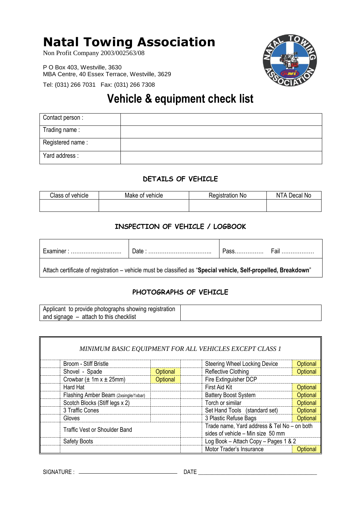# **Natal Towing Association**

Non Profit Company 2003/002563/08

P O Box 403, Westville, 3630 MBA Centre, 40 Essex Terrace, Westville, 3629

Tel: (031) 266 7031 Fax: (031) 266 7308



# **Vehicle & equipment check list**

| Contact person:  |  |
|------------------|--|
| Trading name:    |  |
| Registered name: |  |
| Yard address:    |  |

## **DETAILS OF VEHICLE**

| Class of vehicle | Make of vehicle | ⊀eɑıstratıon No | Decal No<br>A<br>N |
|------------------|-----------------|-----------------|--------------------|
|                  |                 |                 |                    |

# **INSPECTION OF VEHICLE / LOGBOOK**

| пe<br>ш | ⊃ate | . د |
|---------|------|-----|
|         |      |     |

Attach certificate of registration – vehicle must be classified as "**Special vehicle, Self-propelled, Breakdown**"

## **PHOTOGRAPHS OF VEHICLE**

|                                      |          | MINIMUM BASIC EQUIPMENT FOR ALL VEHICLES EXCEPT CLASS 1 |                                             |  |
|--------------------------------------|----------|---------------------------------------------------------|---------------------------------------------|--|
| Broom - Stiff Bristle                |          | <b>Steering Wheel Locking Device</b>                    | Optional                                    |  |
| Shovel - Spade                       | Optional | <b>Reflective Clothing</b>                              | Optional                                    |  |
| Crowbar $(\pm 1m x \pm 25mm)$        | Optional | Fire Extinguisher DCP                                   |                                             |  |
| Hard Hat                             |          | First Aid Kit                                           | Optional                                    |  |
| Flashing Amber Beam (2xsingle/1xbar) |          | <b>Battery Boost System</b>                             | Optional                                    |  |
| Scotch Blocks (Stiff legs x 2)       |          | Torch or similar                                        | Optional                                    |  |
| 3 Traffic Cones                      |          | Set Hand Tools (standard set)                           | Optional                                    |  |
| Gloves                               |          | 3 Plastic Refuse Bags                                   | Optional                                    |  |
| Traffic Vest or Shoulder Band        |          |                                                         | Trade name, Yard address & Tel No - on both |  |
| Safety Boots                         |          |                                                         | Log Book - Attach Copy - Pages 1 & 2        |  |
|                                      |          | Motor Trader's Insurance                                | Optional                                    |  |

SIGNATURE : DATE \_\_\_\_\_\_\_\_\_\_\_\_\_\_\_\_\_\_\_\_\_\_\_\_\_\_\_\_\_\_\_\_\_\_\_\_\_\_\_\_\_\_\_